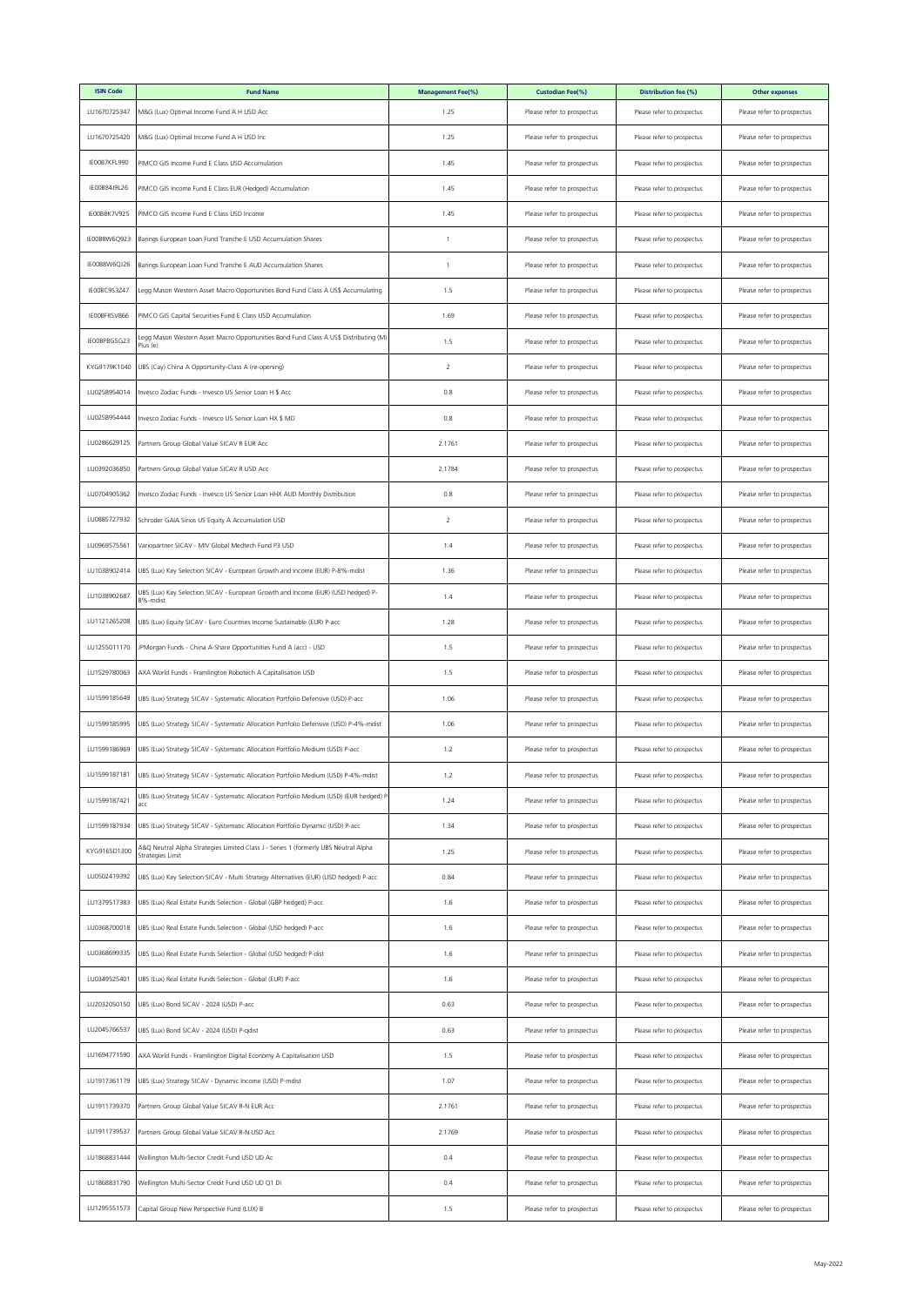| <b>ISIN Code</b> | <b>Fund Name</b>                                                                                        | <b>Management Fee(%)</b> | <b>Custodian Fee(%)</b>    | Distribution fee (%)       | <b>Other expenses</b>      |
|------------------|---------------------------------------------------------------------------------------------------------|--------------------------|----------------------------|----------------------------|----------------------------|
| LU1670725347     | M&G (Lux) Optimal Income Fund A H USD Acc                                                               | 1.25                     | Please refer to prospectus | Please refer to prospectus | Please refer to prospectus |
| LU1670725420     | M&G (Lux) Optimal Income Fund A H USD Inc                                                               | 1.25                     | Please refer to prospectus | Please refer to prospectus | Please refer to prospectus |
| IE00B7KFL990     | PIMCO GIS Income Fund E Class USD Accumulation                                                          | 1.45                     | Please refer to prospectus | Please refer to prospectus | Please refer to prospectus |
| IE00B84J9L26     | PIMCO GIS Income Fund E Class EUR (Hedged) Accumulation                                                 | 1.45                     | Please refer to prospectus | Please refer to prospectus | Please refer to prospectus |
| IE00B8K7V925     | PIMCO GIS Income Fund E Class USD Income                                                                | 1.45                     | Please refer to prospectus | Please refer to prospectus | Please refer to prospectus |
| E00B8W6Q923      | Barings European Loan Fund Tranche E USD Accumulation Shares                                            | 1                        | Please refer to prospectus | Please refer to prospectus | Please refer to prospectus |
| IE00B8W6QJ26     | Barings European Loan Fund Tranche E AUD Accumulation Shares                                            | $\mathbf{1}$             | Please refer to prospectus | Please refer to prospectus | Please refer to prospectus |
| IE00BC9S3Z47     | Legg Mason Western Asset Macro Opportunities Bond Fund Class A US\$ Accumulating                        | 1.5                      | Please refer to prospectus | Please refer to prospectus | Please refer to prospectus |
| IEOOBFRSV866     | PIMCO GIS Capital Securities Fund E Class USD Accumulation                                              | 1.69                     | Please refer to prospectus | Please refer to prospectus | Please refer to prospectus |
| IE00BPBG5G23     | Legg Mason Western Asset Macro Opportunities Bond Fund Class A US\$ Distributing (M)<br>Plus (e)        | 1.5                      | Please refer to prospectus | Please refer to prospectus | Please refer to prospectus |
| KYG9179K1040     | UBS (Cay) China A Opportunity-Class A (re-opening)                                                      | $\overline{2}$           | Please refer to prospectus | Please refer to prospectus | Please refer to prospectus |
| LU0258954014     | Invesco Zodiac Funds - Invesco US Senior Loan H \$ Acc                                                  | 0.8                      | Please refer to prospectus | Please refer to prospectus | Please refer to prospectus |
| LU0258954444     | Invesco Zodiac Funds - Invesco US Senior Loan HX \$ MD                                                  | 0.8                      | Please refer to prospectus | Please refer to prospectus | Please refer to prospectus |
| LU0286629125     | Partners Group Global Value SICAV R EUR Acc                                                             | 2.1761                   | Please refer to prospectus | Please refer to prospectus | Please refer to prospectus |
| LU0392036850     | Partners Group Global Value SICAV R USD Acc                                                             | 2.1784                   | Please refer to prospectus | Please refer to prospectus | Please refer to prospectus |
| LU0704905362     | Invesco Zodiac Funds - Invesco US Senior Loan HHX AUD Monthly Distribution                              | 0.8                      | Please refer to prospectus | Please refer to prospectus | Please refer to prospectus |
| LU0885727932     | Schroder GAIA Sirios US Equity A Accumulation USD                                                       | 2                        | Please refer to prospectus | Please refer to prospectus | Please refer to prospectus |
| LU0969575561     | Variopartner SICAV - MIV Global Medtech Fund P3 USD                                                     | 1.4                      | Please refer to prospectus | Please refer to prospectus | Please refer to prospectus |
| LU1038902414     | UBS (Lux) Key Selection SICAV - European Growth and Income (EUR) P-8%-mdist                             | 1.36                     | Please refer to prospectus | Please refer to prospectus | Please refer to prospectus |
| LU1038902687     | UBS (Lux) Key Selection SICAV - European Growth and Income (EUR) (USD hedged) P-<br>8%-mdist            | 1.4                      | Please refer to prospectus | Please refer to prospectus | Please refer to prospectus |
| LU1121265208     | UBS (Lux) Equity SICAV - Euro Countries Income Sustainable (EUR) P-acc                                  | 1.28                     | Please refer to prospectus | Please refer to prospectus | Please refer to prospectus |
| LU1255011170     | JPMorgan Funds - China A-Share Opportunities Fund A (acc) - USD                                         | 1.5                      | Please refer to prospectus | Please refer to prospectus | Please refer to prospectus |
| LU1529780063     | AXA World Funds - Framlington Robotech A Capitalisation USD                                             | 1.5                      | Please refer to prospectus | Please refer to prospectus | Please refer to prospectus |
| LU1599185649     | UBS (Lux) Strategy SICAV - Systematic Allocation Portfolio Defensive (USD) P-acc                        | 1.06                     | Please refer to prospectus | Please refer to prospectus | Please refer to prospectus |
| LU1599185995     | UBS (Lux) Strategy SICAV - Systematic Allocation Portfolio Defensive (USD) P-4%-mdist                   | 1.06                     | Please refer to prospectus | Please refer to prospectus | Please refer to prospectus |
| LU1599186969     | UBS (Lux) Strategy SICAV - Systematic Allocation Portfolio Medium (USD) P-acc                           | 1.2                      | Please refer to prospectus | Please refer to prospectus | Please refer to prospectus |
| LU1599187181     | UBS (Lux) Strategy SICAV - Systematic Allocation Portfolio Medium (USD) P-4%-mdist                      | 1.2                      | Please refer to prospectus | Please refer to prospectus | Please refer to prospectus |
| LU1599187421     | UBS (Lux) Strategy SICAV - Systematic Allocation Portfolio Medium (USD) (EUR hedged) F                  | 1.24                     | Please refer to prospectus | Please refer to prospectus | Please refer to prospectus |
| LU1599187934     | UBS (Lux) Strategy SICAV - Systematic Allocation Portfolio Dynamic (USD) P-acc                          | 1.34                     | Please refer to prospectus | Please refer to prospectus | Please refer to prospectus |
| KYG9165D1300     | A&Q Neutral Alpha Strategies Limited Class J - Series 1 (formerly UBS Neutral Alpha<br>Strategies Limit | 1.25                     | Please refer to prospectus | Please refer to prospectus | Please refer to prospectus |
| LU0502419392     | UBS (Lux) Key Selection SICAV - Multi Strategy Alternatives (EUR) (USD hedged) P-acc                    | 0.84                     | Please refer to prospectus | Please refer to prospectus | Please refer to prospectus |
| LU1379517383     | UBS (Lux) Real Estate Funds Selection - Global (GBP hedged) P-acc                                       | 1.6                      | Please refer to prospectus | Please refer to prospectus | Please refer to prospectus |
| LU0368700018     | UBS (Lux) Real Estate Funds Selection - Global (USD hedged) P-acc                                       | 1.6                      | Please refer to prospectus | Please refer to prospectus | Please refer to prospectus |
| LU0368699335     | UBS (Lux) Real Estate Funds Selection - Global (USD hedged) P-dist                                      | 1.6                      | Please refer to prospectus | Please refer to prospectus | Please refer to prospectus |
| LU0349525401     | UBS (Lux) Real Estate Funds Selection - Global (EUR) P-acc                                              | 1.6                      | Please refer to prospectus | Please refer to prospectus | Please refer to prospectus |
| LU2032050150     | UBS (Lux) Bond SICAV - 2024 (USD) P-acc                                                                 | 0.63                     | Please refer to prospectus | Please refer to prospectus | Please refer to prospectus |
| LU2045766537     | UBS (Lux) Bond SICAV - 2024 (USD) P-qdist                                                               | 0.63                     | Please refer to prospectus | Please refer to prospectus | Please refer to prospectus |
| LU1694771590     | AXA World Funds - Framlington Digital Economy A Capitalisation USD                                      | 1.5                      | Please refer to prospectus | Please refer to prospectus | Please refer to prospectus |
| LU1917361179     | UBS (Lux) Strategy SICAV - Dynamic Income (USD) P-mdist                                                 | 1.07                     | Please refer to prospectus | Please refer to prospectus | Please refer to prospectus |
| LU1911739370     | Partners Group Global Value SICAV R-N EUR Acc                                                           | 2.1761                   | Please refer to prospectus | Please refer to prospectus | Please refer to prospectus |
| LU1911739537     | Partners Group Global Value SICAV R-N USD Acc                                                           | 2.1769                   | Please refer to prospectus | Please refer to prospectus | Please refer to prospectus |
| LU1868831444     | Wellington Multi-Sector Credit Fund USD UD Ac                                                           | 0.4                      | Please refer to prospectus | Please refer to prospectus | Please refer to prospectus |
| LU1868831790     | Wellington Multi-Sector Credit Fund USD UD Q1 Di                                                        | 0.4                      | Please refer to prospectus | Please refer to prospectus | Please refer to prospectus |
| LU1295551573     | Capital Group New Perspective Fund (LUX) B                                                              | 1.5                      | Please refer to prospectus | Please refer to prospectus | Please refer to prospectus |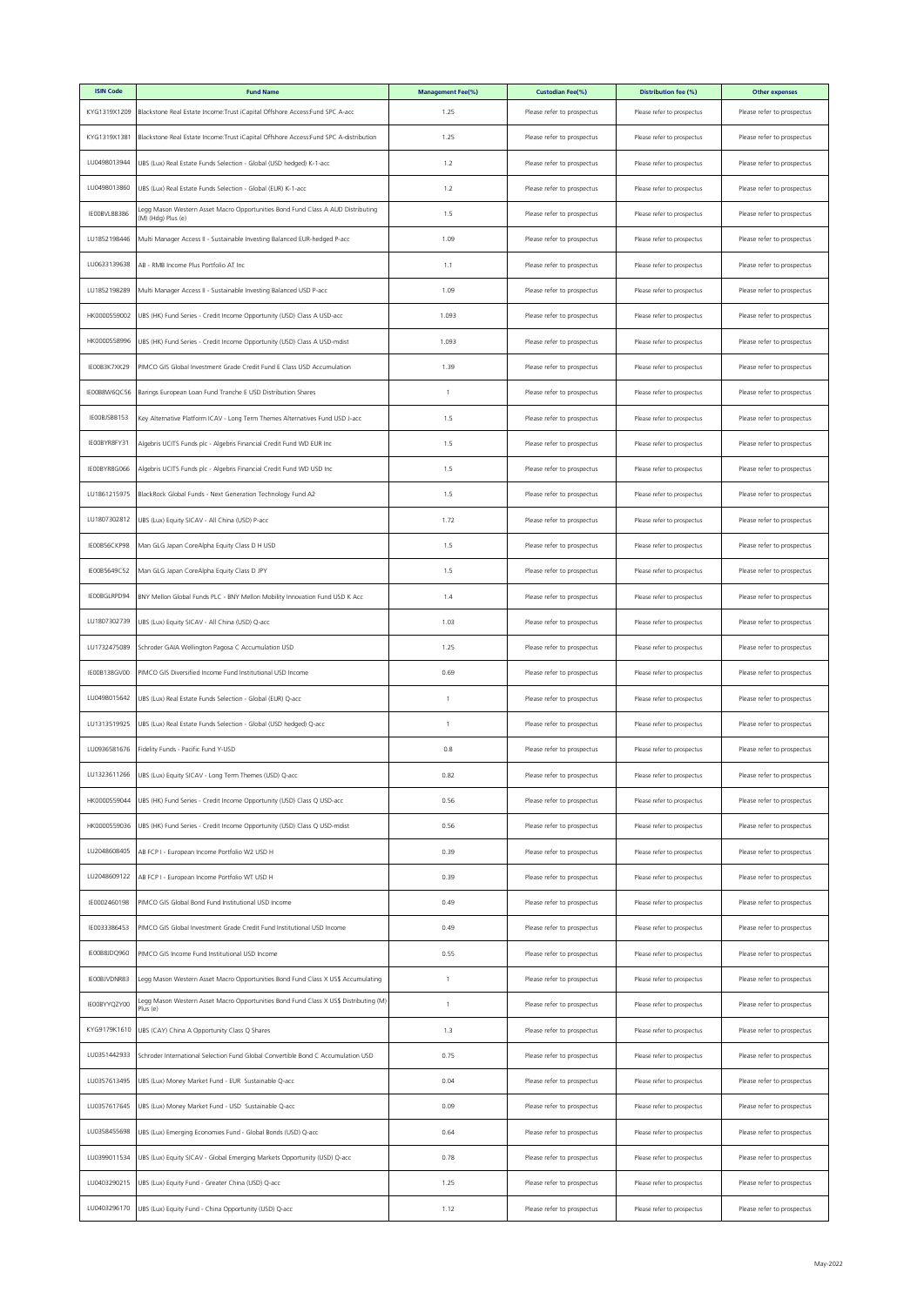| <b>ISIN Code</b> | <b>Fund Name</b>                                                                                      | <b>Management Fee(%)</b> | <b>Custodian Fee(%)</b>    | Distribution fee (%)       | <b>Other expenses</b>      |
|------------------|-------------------------------------------------------------------------------------------------------|--------------------------|----------------------------|----------------------------|----------------------------|
| KYG1319X1209     | Blackstone Real Estate Income: Trust iCapital Offshore Access: Fund SPC A-acc                         | 1.25                     | Please refer to prospectus | Please refer to prospectus | Please refer to prospectus |
| KYG1319X1381     | Blackstone Real Estate Income:Trust iCapital Offshore Access:Fund SPC A-distribution                  | 1.25                     | Please refer to prospectus | Please refer to prospectus | Please refer to prospectus |
| LU0498013944     | UBS (Lux) Real Estate Funds Selection - Global (USD hedged) K-1-acc                                   | 1.2                      | Please refer to prospectus | Please refer to prospectus | Please refer to prospectus |
| LU0498013860     | UBS (Lux) Real Estate Funds Selection - Global (EUR) K-1-acc                                          | 1.2                      | Please refer to prospectus | Please refer to prospectus | Please refer to prospectus |
| IE00BVL88386     | Legg Mason Western Asset Macro Opportunities Bond Fund Class A AUD Distributing<br>(M) (Hdg) Plus (e) | 1.5                      | Please refer to prospectus | Please refer to prospectus | Please refer to prospectus |
| LU1852198446     | Multi Manager Access II - Sustainable Investing Balanced EUR-hedged P-acc                             | 1.09                     | Please refer to prospectus | Please refer to prospectus | Please refer to prospectus |
| LU0633139638     | AB - RMB Income Plus Portfolio AT Inc                                                                 | 1.1                      | Please refer to prospectus | Please refer to prospectus | Please refer to prospectus |
| LU1852198289     | Multi Manager Access II - Sustainable Investing Balanced USD P-acc                                    | 1.09                     | Please refer to prospectus | Please refer to prospectus | Please refer to prospectus |
| HK0000559002     | UBS (HK) Fund Series - Credit Income Opportunity (USD) Class A USD-acc                                | 1.093                    | Please refer to prospectus | Please refer to prospectus | Please refer to prospectus |
| HK0000558996     | UBS (HK) Fund Series - Credit Income Opportunity (USD) Class A USD-mdist                              | 1.093                    | Please refer to prospectus | Please refer to prospectus | Please refer to prospectus |
| IE00B3K7XK29     | PIMCO GIS Global Investment Grade Credit Fund E Class USD Accumulation                                | 1.39                     | Please refer to prospectus | Please refer to prospectus | Please refer to prospectus |
| IE00B8W6QC56     | Barings European Loan Fund Tranche E USD Distribution Shares                                          | $\mathbf{1}$             | Please refer to prospectus | Please refer to prospectus | Please refer to prospectus |
| IEOOBJSBB153     | Key Alternative Platform ICAV - Long Term Themes Alternatives Fund USD J-acc                          | 1.5                      | Please refer to prospectus | Please refer to prospectus | Please refer to prospectus |
| IEOOBYR8FY31     | Algebris UCITS Funds plc - Algebris Financial Credit Fund WD EUR Inc                                  | 1.5                      | Please refer to prospectus | Please refer to prospectus | Please refer to prospectus |
| IE00BYR8G066     | Algebris UCITS Funds plc - Algebris Financial Credit Fund WD USD Inc                                  | 1.5                      | Please refer to prospectus | Please refer to prospectus | Please refer to prospectus |
| LU1861215975     | BlackRock Global Funds - Next Generation Technology Fund A2                                           | 1.5                      | Please refer to prospectus | Please refer to prospectus | Please refer to prospectus |
| LU1807302812     | UBS (Lux) Equity SICAV - All China (USD) P-acc                                                        | 1.72                     | Please refer to prospectus | Please refer to prospectus | Please refer to prospectus |
| IE00B56CKP98     | Man GLG Japan CoreAlpha Equity Class D H USD                                                          | 1.5                      | Please refer to prospectus | Please refer to prospectus | Please refer to prospectus |
| IE00B5649C52     | Man GLG Japan CoreAlpha Equity Class D JPY                                                            | 1.5                      | Please refer to prospectus | Please refer to prospectus | Please refer to prospectus |
| IEOOBGLRPD94     | BNY Mellon Global Funds PLC - BNY Mellon Mobility Innovation Fund USD K Acc                           | 1.4                      | Please refer to prospectus | Please refer to prospectus | Please refer to prospectus |
| LU1807302739     | UBS (Lux) Equity SICAV - All China (USD) Q-acc                                                        | 1.03                     | Please refer to prospectus | Please refer to prospectus | Please refer to prospectus |
| LU1732475089     | Schroder GAIA Wellington Pagosa C Accumulation USD                                                    | 1.25                     | Please refer to prospectus | Please refer to prospectus | Please refer to prospectus |
| IE00B138GV00     | PIMCO GIS Diversified Income Fund Institutional USD Income                                            | 0.69                     | Please refer to prospectus | Please refer to prospectus | Please refer to prospectus |
| LU0498015642     | UBS (Lux) Real Estate Funds Selection - Global (EUR) Q-acc                                            | $\overline{1}$           | Please refer to prospectus | Please refer to prospectus | Please refer to prospectus |
| LU1313519925     | UBS (Lux) Real Estate Funds Selection - Global (USD hedged) Q-acc                                     | 1                        | Please refer to prospectus | Please refer to prospectus | Please refer to prospectus |
| LU0936581676     | Fidelity Funds - Pacific Fund Y-USD                                                                   | 0.8                      | Please refer to prospectus | Please refer to prospectus | Please refer to prospectus |
| LU1323611266     | UBS (Lux) Equity SICAV - Long Term Themes (USD) Q-acc                                                 | 0.82                     | Please refer to prospectus | Please refer to prospectus | Please refer to prospectus |
| HK0000559044     | UBS (HK) Fund Series - Credit Income Opportunity (USD) Class Q USD-acc                                | 0.56                     | Please refer to prospectus | Please refer to prospectus | Please refer to prospectus |
| HK0000559036     | UBS (HK) Fund Series - Credit Income Opportunity (USD) Class Q USD-mdist                              | 0.56                     | Please refer to prospectus | Please refer to prospectus | Please refer to prospectus |
| LU2048608405     | AB FCP I - European Income Portfolio W2 USD H                                                         | 0.39                     | Please refer to prospectus | Please refer to prospectus | Please refer to prospectus |
| LU2048609122     | AB FCP I - European Income Portfolio WT USD H                                                         | 0.39                     | Please refer to prospectus | Please refer to prospectus | Please refer to prospectus |
| IE0002460198     | PIMCO GIS Global Bond Fund Institutional USD Income                                                   | 0.49                     | Please refer to prospectus | Please refer to prospectus | Please refer to prospectus |
| IE0033386453     | PIMCO GIS Global Investment Grade Credit Fund Institutional USD Income                                | 0.49                     | Please refer to prospectus | Please refer to prospectus | Please refer to prospectus |
| IE00B8JDQ960     | PIMCO GIS Income Fund Institutional USD Income                                                        | 0.55                     | Please refer to prospectus | Please refer to prospectus | Please refer to prospectus |
| IEOOBJVDNR83     | Legg Mason Western Asset Macro Opportunities Bond Fund Class X US\$ Accumulating                      | 1                        | Please refer to prospectus | Please refer to prospectus | Please refer to prospectus |
| IE00BYYQZY00     | Legg Mason Western Asset Macro Opportunities Bond Fund Class X US\$ Distributing (M)<br>Plus (e)      | 1                        | Please refer to prospectus | Please refer to prospectus | Please refer to prospectus |
| KYG9179K1610     | UBS (CAY) China A Opportunity Class Q Shares                                                          | 1.3                      | Please refer to prospectus | Please refer to prospectus | Please refer to prospectus |
| LU0351442933     | Schroder International Selection Fund Global Convertible Bond C Accumulation USD                      | 0.75                     | Please refer to prospectus | Please refer to prospectus | Please refer to prospectus |
| LU0357613495     | UBS (Lux) Money Market Fund - EUR Sustainable Q-acc                                                   | 0.04                     | Please refer to prospectus | Please refer to prospectus | Please refer to prospectus |
| LU0357617645     | UBS (Lux) Money Market Fund - USD Sustainable Q-acc                                                   | 0.09                     | Please refer to prospectus | Please refer to prospectus | Please refer to prospectus |
| LU0358455698     | UBS (Lux) Emerging Economies Fund - Global Bonds (USD) Q-acc                                          | 0.64                     | Please refer to prospectus | Please refer to prospectus | Please refer to prospectus |
| LU0399011534     | UBS (Lux) Equity SICAV - Global Emerging Markets Opportunity (USD) Q-acc                              | 0.78                     | Please refer to prospectus | Please refer to prospectus | Please refer to prospectus |
| LU0403290215     | UBS (Lux) Equity Fund - Greater China (USD) Q-acc                                                     | 1.25                     | Please refer to prospectus | Please refer to prospectus | Please refer to prospectus |
| LU0403296170     | UBS (Lux) Equity Fund - China Opportunity (USD) Q-acc                                                 | 1.12                     | Please refer to prospectus | Please refer to prospectus | Please refer to prospectus |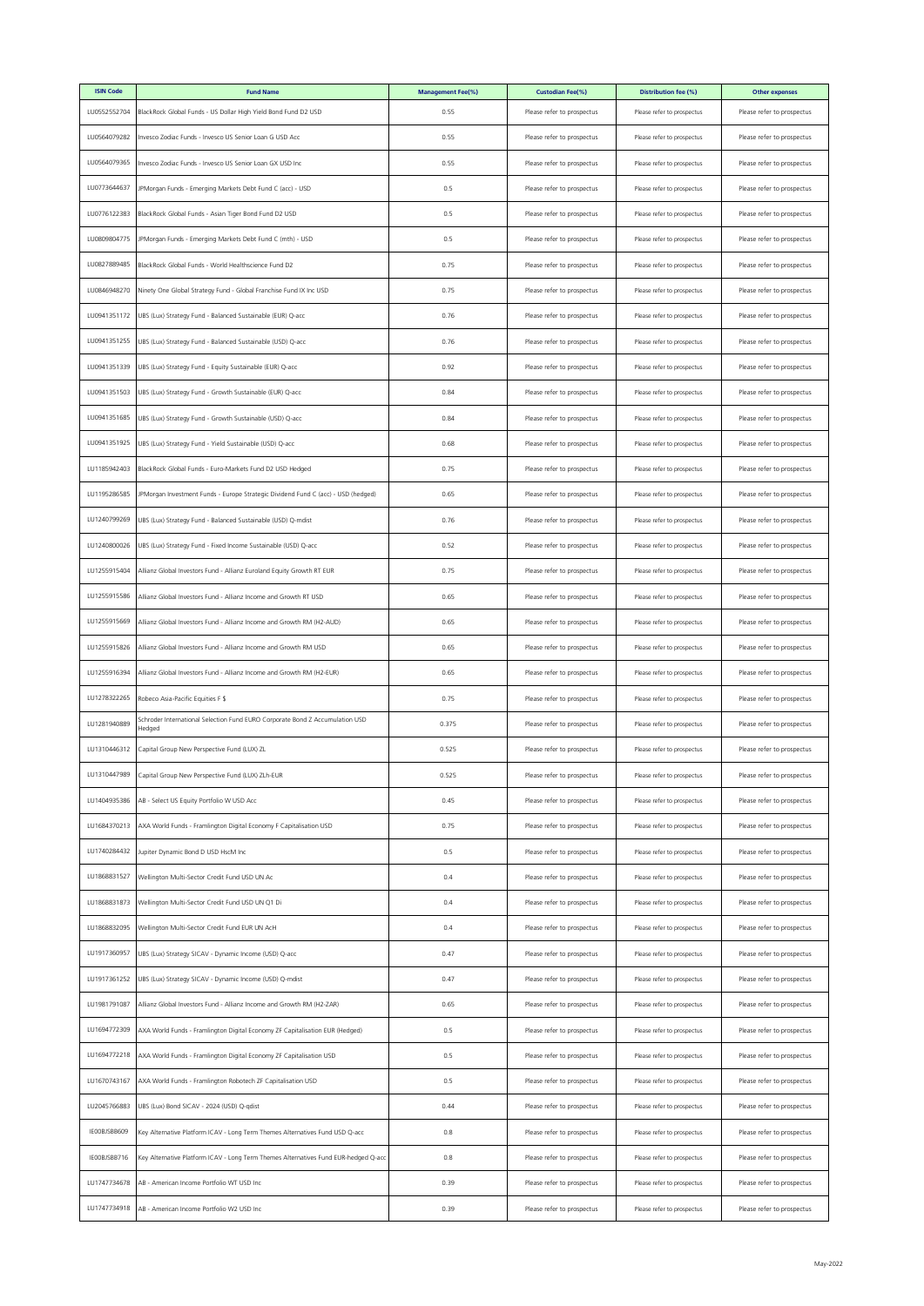| <b>ISIN Code</b> | <b>Fund Name</b>                                                                       | <b>Management Fee(%)</b> | <b>Custodian Fee(%)</b>    | Distribution fee (%)       | <b>Other expenses</b>      |
|------------------|----------------------------------------------------------------------------------------|--------------------------|----------------------------|----------------------------|----------------------------|
| LU0552552704     | BlackRock Global Funds - US Dollar High Yield Bond Fund D2 USD                         | 0.55                     | Please refer to prospectus | Please refer to prospectus | Please refer to prospectus |
| LU0564079282     | Invesco Zodiac Funds - Invesco US Senior Loan G USD Acc                                | 0.55                     | Please refer to prospectus | Please refer to prospectus | Please refer to prospectus |
| LU0564079365     | Invesco Zodiac Funds - Invesco US Senior Loan GX USD Inc                               | 0.55                     | Please refer to prospectus | Please refer to prospectus | Please refer to prospectus |
| LU0773644637     | JPMorgan Funds - Emerging Markets Debt Fund C (acc) - USD                              | 0.5                      | Please refer to prospectus | Please refer to prospectus | Please refer to prospectus |
| LU0776122383     | BlackRock Global Funds - Asian Tiger Bond Fund D2 USD                                  | 0.5                      | Please refer to prospectus | Please refer to prospectus | Please refer to prospectus |
| LU0809804775     | JPMorgan Funds - Emerging Markets Debt Fund C (mth) - USD                              | 0.5                      | Please refer to prospectus | Please refer to prospectus | Please refer to prospectus |
| LU0827889485     | BlackRock Global Funds - World Healthscience Fund D2                                   | 0.75                     | Please refer to prospectus | Please refer to prospectus | Please refer to prospectus |
| LU0846948270     | Ninety One Global Strategy Fund - Global Franchise Fund IX Inc USD                     | 0.75                     | Please refer to prospectus | Please refer to prospectus | Please refer to prospectus |
| LU0941351172     | UBS (Lux) Strategy Fund - Balanced Sustainable (EUR) Q-acc                             | 0.76                     | Please refer to prospectus | Please refer to prospectus | Please refer to prospectus |
| LU0941351255     | UBS (Lux) Strategy Fund - Balanced Sustainable (USD) Q-acc                             | 0.76                     | Please refer to prospectus | Please refer to prospectus | Please refer to prospectus |
| LU0941351339     | UBS (Lux) Strategy Fund - Equity Sustainable (EUR) Q-acc                               | 0.92                     | Please refer to prospectus | Please refer to prospectus | Please refer to prospectus |
| LU0941351503     | UBS (Lux) Strategy Fund - Growth Sustainable (EUR) Q-acc                               | 0.84                     | Please refer to prospectus | Please refer to prospectus | Please refer to prospectus |
| LU0941351685     | UBS (Lux) Strategy Fund - Growth Sustainable (USD) Q-acc                               | 0.84                     | Please refer to prospectus | Please refer to prospectus | Please refer to prospectus |
| LU0941351925     | UBS (Lux) Strategy Fund - Yield Sustainable (USD) Q-acc                                | 0.68                     | Please refer to prospectus | Please refer to prospectus | Please refer to prospectus |
| LU1185942403     | BlackRock Global Funds - Euro-Markets Fund D2 USD Hedged                               | 0.75                     | Please refer to prospectus | Please refer to prospectus | Please refer to prospectus |
| LU1195286585     | JPMorgan Investment Funds - Europe Strategic Dividend Fund C (acc) - USD (hedged)      | 0.65                     | Please refer to prospectus | Please refer to prospectus | Please refer to prospectus |
| LU1240799269     | UBS (Lux) Strategy Fund - Balanced Sustainable (USD) Q-mdist                           | 0.76                     | Please refer to prospectus | Please refer to prospectus | Please refer to prospectus |
| LU1240800026     | UBS (Lux) Strategy Fund - Fixed Income Sustainable (USD) Q-acc                         | 0.52                     | Please refer to prospectus | Please refer to prospectus | Please refer to prospectus |
| LU1255915404     | Allianz Global Investors Fund - Allianz Euroland Equity Growth RT EUR                  | 0.75                     | Please refer to prospectus | Please refer to prospectus | Please refer to prospectus |
| LU1255915586     | Allianz Global Investors Fund - Allianz Income and Growth RT USD                       | 0.65                     | Please refer to prospectus | Please refer to prospectus | Please refer to prospectus |
| LU1255915669     | Allianz Global Investors Fund - Allianz Income and Growth RM (H2-AUD)                  | 0.65                     | Please refer to prospectus | Please refer to prospectus | Please refer to prospectus |
| LU1255915826     | Allianz Global Investors Fund - Allianz Income and Growth RM USD                       | 0.65                     | Please refer to prospectus | Please refer to prospectus | Please refer to prospectus |
| LU1255916394     | Allianz Global Investors Fund - Allianz Income and Growth RM (H2-EUR)                  | 0.65                     | Please refer to prospectus | Please refer to prospectus | Please refer to prospectus |
| LU1278322265     | Robeco Asia-Pacific Equities F \$                                                      | 0.75                     | Please refer to prospectus | Please refer to prospectus | Please refer to prospectus |
| LU1281940889     | Schroder International Selection Fund EURO Corporate Bond Z Accumulation USD<br>Hedged | 0.375                    | Please refer to prospectus | Please refer to prospectus | Please refer to prospectus |
| LU1310446312     | Capital Group New Perspective Fund (LUX) ZL                                            | 0.525                    | Please refer to prospectus | Please refer to prospectus | Please refer to prospectus |
| LU1310447989     | Capital Group New Perspective Fund (LUX) ZLh-EUR                                       | 0.525                    | Please refer to prospectus | Please refer to prospectus | Please refer to prospectus |
| LU1404935386     | AB - Select US Equity Portfolio W USD Acc                                              | 0.45                     | Please refer to prospectus | Please refer to prospectus | Please refer to prospectus |
| LU1684370213     | AXA World Funds - Framlington Digital Economy F Capitalisation USD                     | 0.75                     | Please refer to prospectus | Please refer to prospectus | Please refer to prospectus |
| LU1740284432     | Jupiter Dynamic Bond D USD HscM Inc                                                    | 0.5                      | Please refer to prospectus | Please refer to prospectus | Please refer to prospectus |
| LU1868831527     | Wellington Multi-Sector Credit Fund USD UN Ac                                          | 0.4                      | Please refer to prospectus | Please refer to prospectus | Please refer to prospectus |
| LU1868831873     | Wellington Multi-Sector Credit Fund USD UN Q1 Di                                       | 0.4                      | Please refer to prospectus | Please refer to prospectus | Please refer to prospectus |
| LU1868832095     | Wellington Multi-Sector Credit Fund EUR UN AcH                                         | 0.4                      | Please refer to prospectus | Please refer to prospectus | Please refer to prospectus |
| LU1917360957     | UBS (Lux) Strategy SICAV - Dynamic Income (USD) Q-acc                                  | 0.47                     | Please refer to prospectus | Please refer to prospectus | Please refer to prospectus |
| LU1917361252     | UBS (Lux) Strategy SICAV - Dynamic Income (USD) Q-mdist                                | 0.47                     | Please refer to prospectus | Please refer to prospectus | Please refer to prospectus |
| LU1981791087     | Allianz Global Investors Fund - Allianz Income and Growth RM (H2-ZAR)                  | 0.65                     | Please refer to prospectus | Please refer to prospectus | Please refer to prospectus |
| LU1694772309     | AXA World Funds - Framlington Digital Economy ZF Capitalisation EUR (Hedged)           | 0.5                      | Please refer to prospectus | Please refer to prospectus | Please refer to prospectus |
| LU1694772218     | AXA World Funds - Framlington Digital Economy ZF Capitalisation USD                    | 0.5                      | Please refer to prospectus | Please refer to prospectus | Please refer to prospectus |
| LU1670743167     | AXA World Funds - Framlington Robotech ZF Capitalisation USD                           | 0.5                      | Please refer to prospectus | Please refer to prospectus | Please refer to prospectus |
| LU2045766883     | UBS (Lux) Bond SICAV - 2024 (USD) Q-qdist                                              | 0.44                     | Please refer to prospectus | Please refer to prospectus | Please refer to prospectus |
| IEOOBJSBB609     | Key Alternative Platform ICAV - Long Term Themes Alternatives Fund USD Q-acc           | 0.8                      | Please refer to prospectus | Please refer to prospectus | Please refer to prospectus |
| IEOOBJSBB716     | Key Alternative Platform ICAV - Long Term Themes Alternatives Fund EUR-hedged Q-acc    | 0.8                      | Please refer to prospectus | Please refer to prospectus | Please refer to prospectus |
| LU1747734678     | AB - American Income Portfolio WT USD Inc                                              | 0.39                     | Please refer to prospectus | Please refer to prospectus | Please refer to prospectus |
| LU1747734918     | AB - American Income Portfolio W2 USD Inc                                              | 0.39                     | Please refer to prospectus | Please refer to prospectus | Please refer to prospectus |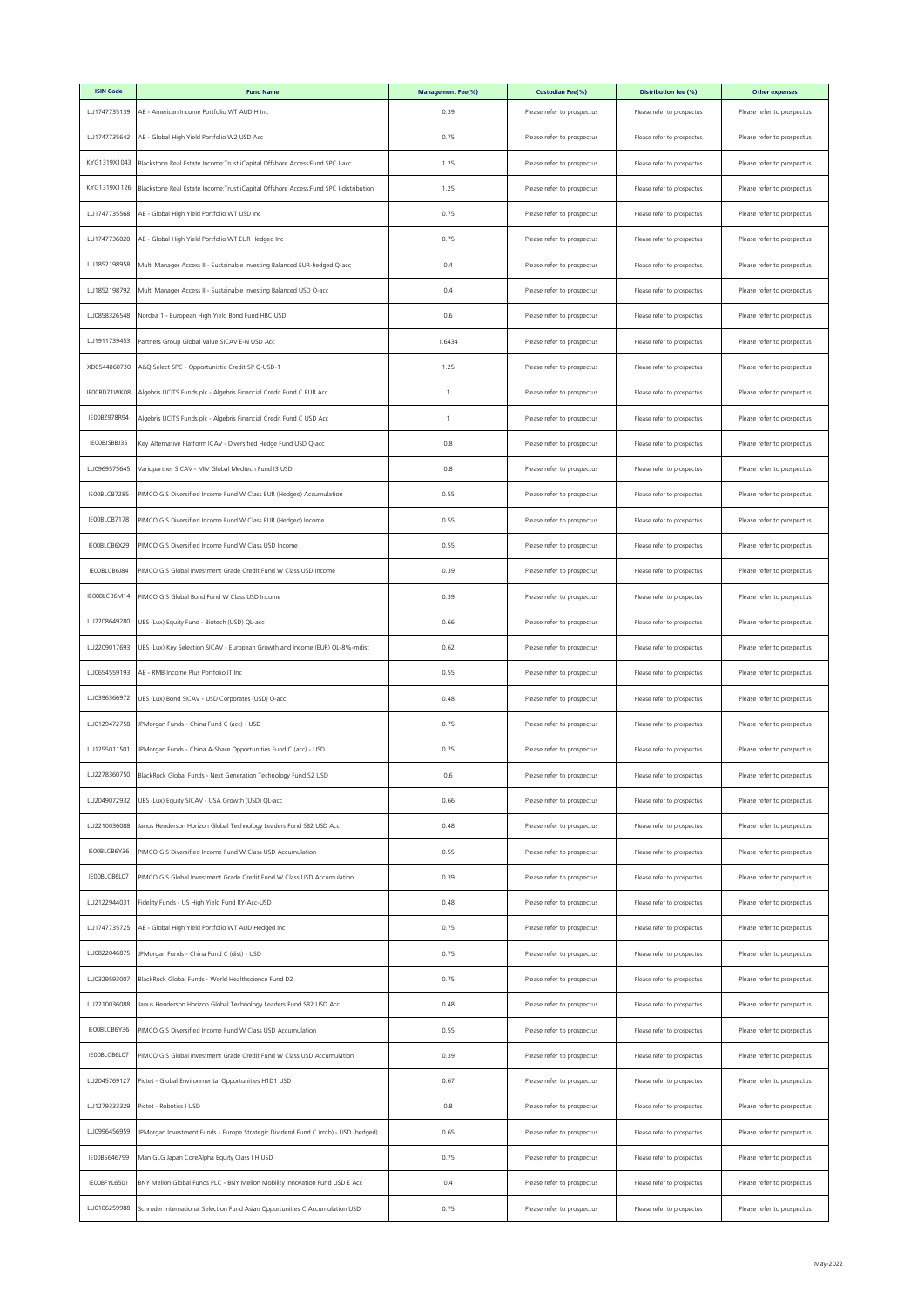| <b>ISIN Code</b> | <b>Fund Name</b>                                                                     | <b>Management Fee(%)</b> | <b>Custodian Fee(%)</b>    | Distribution fee (%)       | <b>Other expenses</b>      |
|------------------|--------------------------------------------------------------------------------------|--------------------------|----------------------------|----------------------------|----------------------------|
| LU1747735139     | AB - American Income Portfolio WT AUD H Inc                                          | 0.39                     | Please refer to prospectus | Please refer to prospectus | Please refer to prospectus |
| LU1747735642     | AB - Global High Yield Portfolio W2 USD Acc                                          | 0.75                     | Please refer to prospectus | Please refer to prospectus | Please refer to prospectus |
| KYG1319X1043     | Blackstone Real Estate Income:Trust iCapital Offshore Access:Fund SPC I-acc          | 1.25                     | Please refer to prospectus | Please refer to prospectus | Please refer to prospectus |
| KYG1319X1126     | Blackstone Real Estate Income:Trust iCapital Offshore Access:Fund SPC I-distribution | 1.25                     | Please refer to prospectus | Please refer to prospectus | Please refer to prospectus |
| LU1747735568     | AB - Global High Yield Portfolio WT USD Inc                                          | 0.75                     | Please refer to prospectus | Please refer to prospectus | Please refer to prospectus |
| LU1747736020     | AB - Global High Yield Portfolio WT EUR Hedged Inc                                   | 0.75                     | Please refer to prospectus | Please refer to prospectus | Please refer to prospectus |
| LU1852198958     | Multi Manager Access II - Sustainable Investing Balanced EUR-hedged Q-acc            | 0.4                      | Please refer to prospectus | Please refer to prospectus | Please refer to prospectus |
| LU1852198792     | Multi Manager Access II - Sustainable Investing Balanced USD Q-acc                   | 0.4                      | Please refer to prospectus | Please refer to prospectus | Please refer to prospectus |
| LU0858326548     | Nordea 1 - European High Yield Bond Fund HBC USD                                     | 0.6                      | Please refer to prospectus | Please refer to prospectus | Please refer to prospectus |
| LU1911739453     | Partners Group Global Value SICAV E-N USD Acc                                        | 1.6434                   | Please refer to prospectus | Please refer to prospectus | Please refer to prospectus |
| XD0544060730     | A&Q Select SPC - Opportunistic Credit SP Q-USD-1                                     | 1.25                     | Please refer to prospectus | Please refer to prospectus | Please refer to prospectus |
| IE00BD71WK08     | Algebris UCITS Funds plc - Algebris Financial Credit Fund C EUR Acc                  | 1                        | Please refer to prospectus | Please refer to prospectus | Please refer to prospectus |
| IEOOBZ978R94     | Algebris UCITS Funds plc - Algebris Financial Credit Fund C USD Acc                  | 1                        | Please refer to prospectus | Please refer to prospectus | Please refer to prospectus |
| IEOOBJSBBJ35     | Key Alternative Platform ICAV - Diversified Hedge Fund USD Q-acc                     | 0.8                      | Please refer to prospectus | Please refer to prospectus | Please refer to prospectus |
| LU0969575645     | Variopartner SICAV - MIV Global Medtech Fund I3 USD                                  | 0.8                      | Please refer to prospectus | Please refer to prospectus | Please refer to prospectus |
| IEOOBLCB7285     | PIMCO GIS Diversified Income Fund W Class EUR (Hedged) Accumulation                  | 0.55                     | Please refer to prospectus | Please refer to prospectus | Please refer to prospectus |
| IEOOBLCB7178     | PIMCO GIS Diversified Income Fund W Class EUR (Hedged) Income                        | 0.55                     | Please refer to prospectus | Please refer to prospectus | Please refer to prospectus |
| IEOOBLCB6X29     | PIMCO GIS Diversified Income Fund W Class USD Income                                 | 0.55                     | Please refer to prospectus | Please refer to prospectus | Please refer to prospectus |
| IEOOBLCB6J84     | PIMCO GIS Global Investment Grade Credit Fund W Class USD Income                     | 0.39                     | Please refer to prospectus | Please refer to prospectus | Please refer to prospectus |
| IE00BLCB6M14     | PIMCO GIS Global Bond Fund W Class USD Income                                        | 0.39                     | Please refer to prospectus | Please refer to prospectus | Please refer to prospectus |
| LU2208649280     | UBS (Lux) Equity Fund - Biotech (USD) QL-acc                                         | 0.66                     | Please refer to prospectus | Please refer to prospectus | Please refer to prospectus |
| LU2209017693     | UBS (Lux) Key Selection SICAV - European Growth and Income (EUR) QL-8%-mdist         | 0.62                     | Please refer to prospectus | Please refer to prospectus | Please refer to prospectus |
| LU0654559193     | AB - RMB Income Plus Portfolio IT Inc                                                | 0.55                     | Please refer to prospectus | Please refer to prospectus | Please refer to prospectus |
| LU0396366972     | UBS (Lux) Bond SICAV - USD Corporates (USD) Q-acc                                    | 0.48                     | Please refer to prospectus | Please refer to prospectus | Please refer to prospectus |
| LU0129472758     | JPMorgan Funds - China Fund C (acc) - USD                                            | 0.75                     | Please refer to prospectus | Please refer to prospectus | Please refer to prospectus |
| LU1255011501     | JPMorgan Funds - China A-Share Opportunities Fund C (acc) - USD                      | 0.75                     | Please refer to prospectus | Please refer to prospectus | Please refer to prospectus |
| LU2278360750     | BlackRock Global Funds - Next Generation Technology Fund S2 USD                      | 0.6                      | Please refer to prospectus | Please refer to prospectus | Please refer to prospectus |
| LU2049072932     | UBS (Lux) Equity SICAV - USA Growth (USD) QL-acc                                     | 0.66                     | Please refer to prospectus | Please refer to prospectus | Please refer to prospectus |
| LU2210036088     | Janus Henderson Horizon Global Technology Leaders Fund SB2 USD Acc                   | 0.48                     | Please refer to prospectus | Please refer to prospectus | Please refer to prospectus |
| IEOOBLCB6Y36     | PIMCO GIS Diversified Income Fund W Class USD Accumulation                           | 0.55                     | Please refer to prospectus | Please refer to prospectus | Please refer to prospectus |
| IEOOBLCB6L07     | PIMCO GIS Global Investment Grade Credit Fund W Class USD Accumulation               | 0.39                     | Please refer to prospectus | Please refer to prospectus | Please refer to prospectus |
| LU2122944031     | Fidelity Funds - US High Yield Fund RY-Acc-USD                                       | 0.48                     | Please refer to prospectus | Please refer to prospectus | Please refer to prospectus |
| LU1747735725     | AB - Global High Yield Portfolio WT AUD Hedged Inc                                   | 0.75                     | Please refer to prospectus | Please refer to prospectus | Please refer to prospectus |
| LU0822046875     | JPMorgan Funds - China Fund C (dist) - USD                                           | 0.75                     | Please refer to prospectus | Please refer to prospectus | Please refer to prospectus |
| LU0329593007     | BlackRock Global Funds - World Healthscience Fund D2                                 | 0.75                     | Please refer to prospectus | Please refer to prospectus | Please refer to prospectus |
| LU2210036088     | Janus Henderson Horizon Global Technology Leaders Fund SB2 USD Acc                   | 0.48                     | Please refer to prospectus | Please refer to prospectus | Please refer to prospectus |
| IEOOBLCB6Y36     | PIMCO GIS Diversified Income Fund W Class USD Accumulation                           | 0.55                     | Please refer to prospectus | Please refer to prospectus | Please refer to prospectus |
| IEOOBLCB6L07     | PIMCO GIS Global Investment Grade Credit Fund W Class USD Accumulation               | 0.39                     | Please refer to prospectus | Please refer to prospectus | Please refer to prospectus |
| LU2045769127     | Pictet - Global Environmental Opportunities H1D1 USD                                 | 0.67                     | Please refer to prospectus | Please refer to prospectus | Please refer to prospectus |
| LU1279333329     | Pictet - Robotics I USD                                                              | 0.8                      | Please refer to prospectus | Please refer to prospectus | Please refer to prospectus |
| LU0996456959     | JPMorgan Investment Funds - Europe Strategic Dividend Fund C (mth) - USD (hedged)    | 0.65                     | Please refer to prospectus | Please refer to prospectus | Please refer to prospectus |
| IE00B5646799     | Man GLG Japan CoreAlpha Equity Class I H USD                                         | 0.75                     | Please refer to prospectus | Please refer to prospectus | Please refer to prospectus |
| IE00BFYL6501     | BNY Mellon Global Funds PLC - BNY Mellon Mobility Innovation Fund USD E Acc          | 0.4                      | Please refer to prospectus | Please refer to prospectus | Please refer to prospectus |
| LU0106259988     | Schroder International Selection Fund Asian Opportunities C Accumulation USD         | 0.75                     | Please refer to prospectus | Please refer to prospectus | Please refer to prospectus |